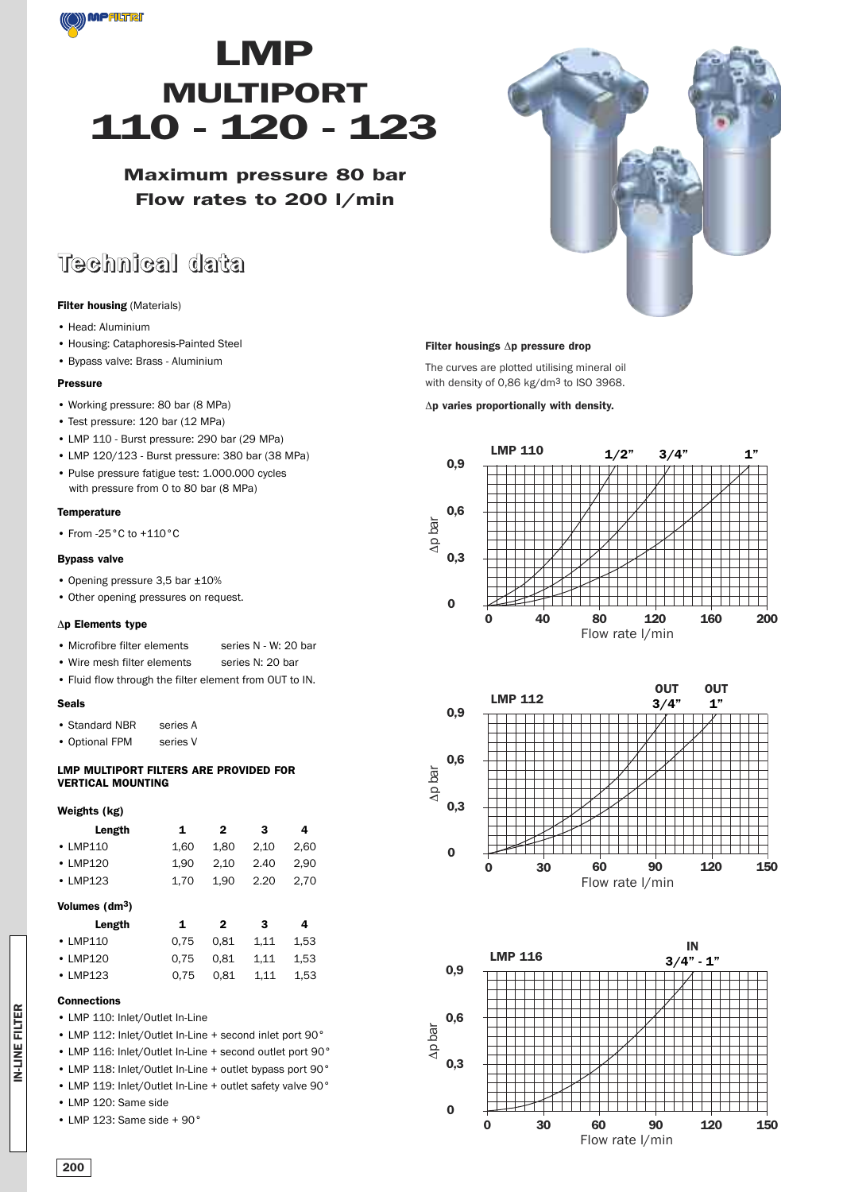

# **LMP MULTIPORT 110 - 120 - 123**

**Maximum pressure 80 bar Flow rates to 200 l/min**

## **Technical data**

#### **Filter housing** (Materials)

- Head: Aluminium
- Housing: Cataphoresis-Painted Steel
- Bypass valve: Brass Aluminium

#### **Pressure**

- Working pressure: 80 bar (8 MPa)
- Test pressure: 120 bar (12 MPa)
- LMP 110 Burst pressure: 290 bar (29 MPa)
- LMP 120/123 Burst pressure: 380 bar (38 MPa)
- Pulse pressure fatigue test: 1.000.000 cycles with pressure from 0 to 80 bar (8 MPa)

#### **Temperature**

• From -25°C to +110°C

#### **Bypass valve**

- Opening pressure 3,5 bar ±10%
- Other opening pressures on request.

#### Δ**p Elements type**

- Microfibre filter elements series N W: 20 bar
- Wire mesh filter elements series N: 20 bar
- Fluid flow through the filter element from OUT to IN.

#### **Seals**

- Standard NBR series A
- Optional FPM series V

#### **LMP MULTIPORT FILTERS ARE PROVIDED FOR VERTICAL MOUNTING**

#### **Weights (kg)**

| 1    | 2    | з    | 4    |
|------|------|------|------|
| 1.60 | 1.80 | 2.10 | 2.60 |
| 1.90 | 2.10 | 2.40 | 2.90 |
| 1.70 | 1.90 | 2.20 | 2.70 |
|      |      |      |      |

#### **Volumes (dm3)**

| Length         | $\mathbf{1}$ | 2    | -3            | 4    |
|----------------|--------------|------|---------------|------|
| $\cdot$ LMP110 | 0.75         | 0.81 | 1.11          | 1.53 |
| $\cdot$ LMP120 | 0.75         | 0.81 | 1.11          | 1.53 |
| $\cdot$ LMP123 | 0.75         |      | $0.81$ $1.11$ | 1.53 |

#### **Connections**

- LMP 110: Inlet/Outlet In-Line
- LMP 112: Inlet/Outlet In-Line + second inlet port 90°
- LMP 116: Inlet/Outlet In-Line + second outlet port 90°
- LMP 118: Inlet/Outlet In-Line + outlet bypass port 90°
- LMP 119: Inlet/Outlet In-Line + outlet safety valve 90°
- LMP 120: Same side
- LMP 123: Same side + 90°



#### **Filter housings** Δ**p pressure drop**

The curves are plotted utilising mineral oil with density of 0,86 kg/dm<sup>3</sup> to ISO 3968.

#### Δ**p varies proportionally with density.**





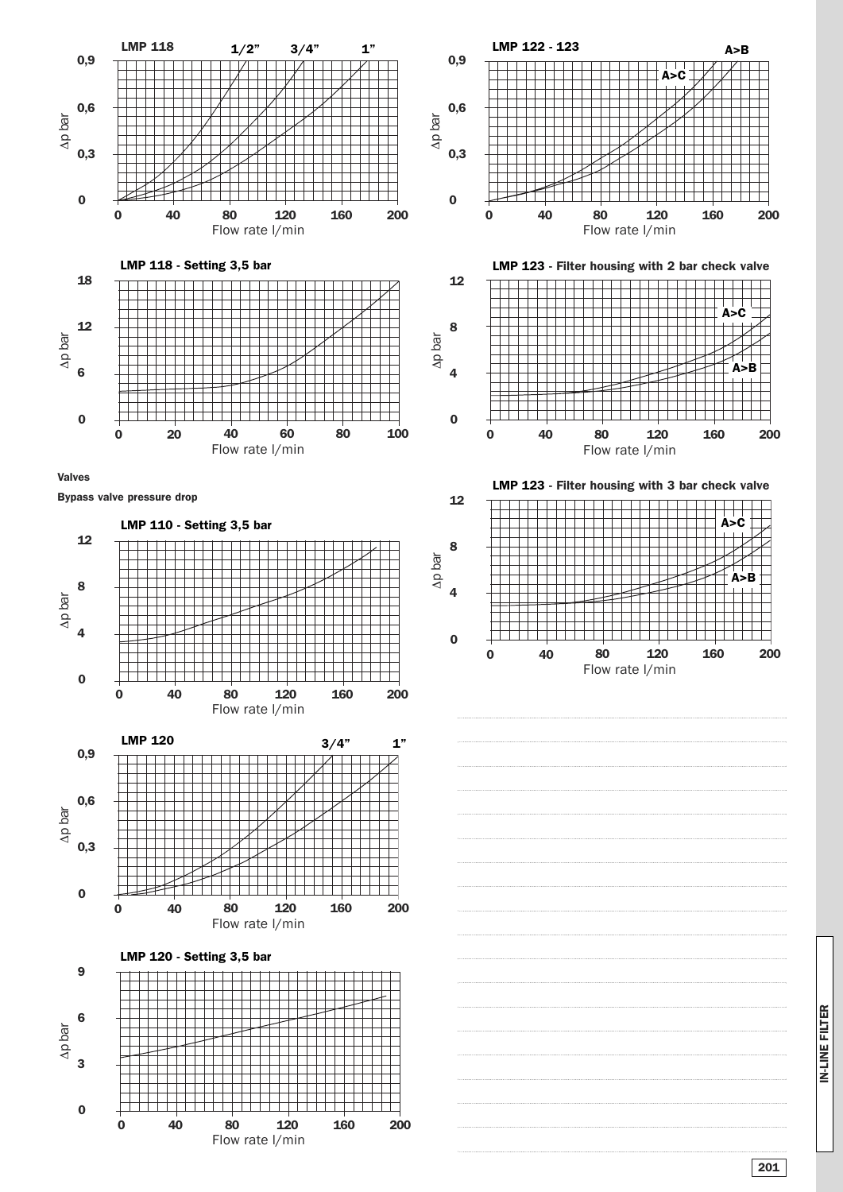

**IN-LINE FILTER IN-LINE FILTER**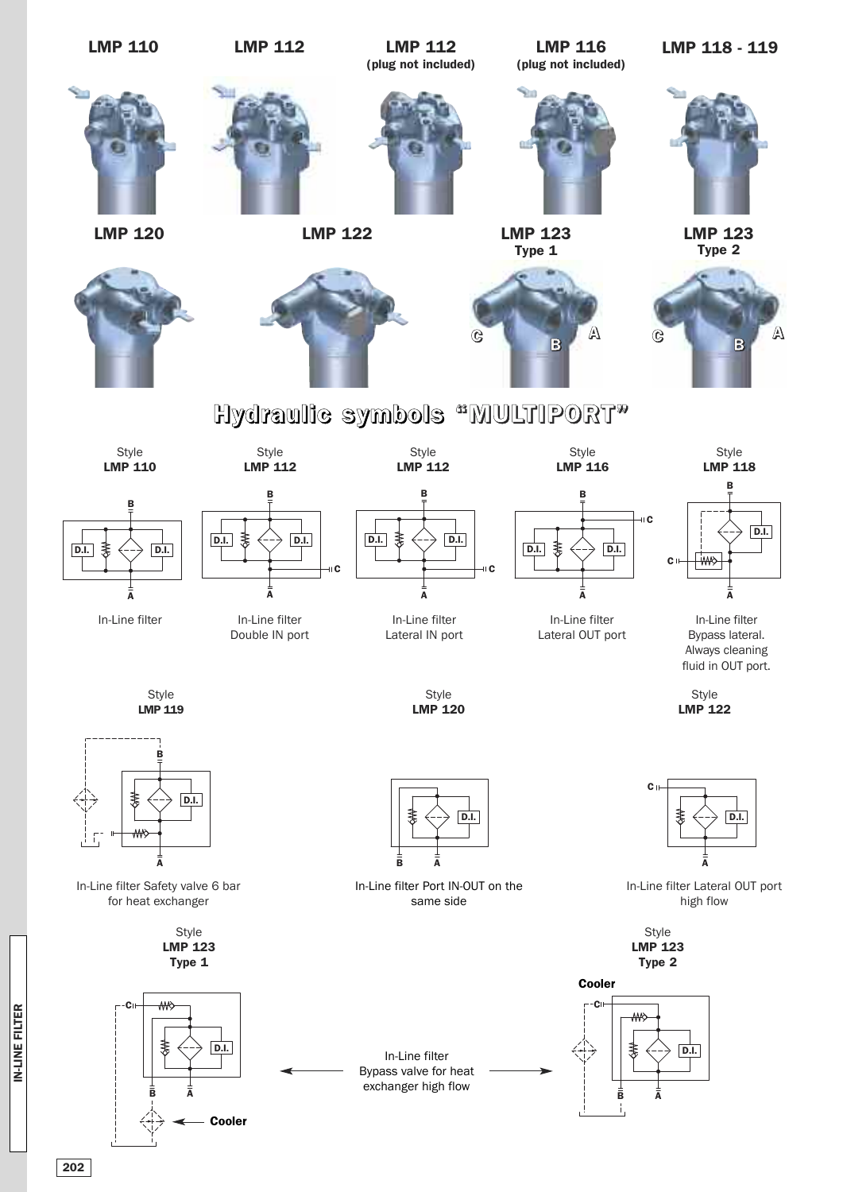

IN-LINE FILTER B A **IN-LINE FILTER**

D.I.

D.I. D.I.

D.I. D.I.

**202**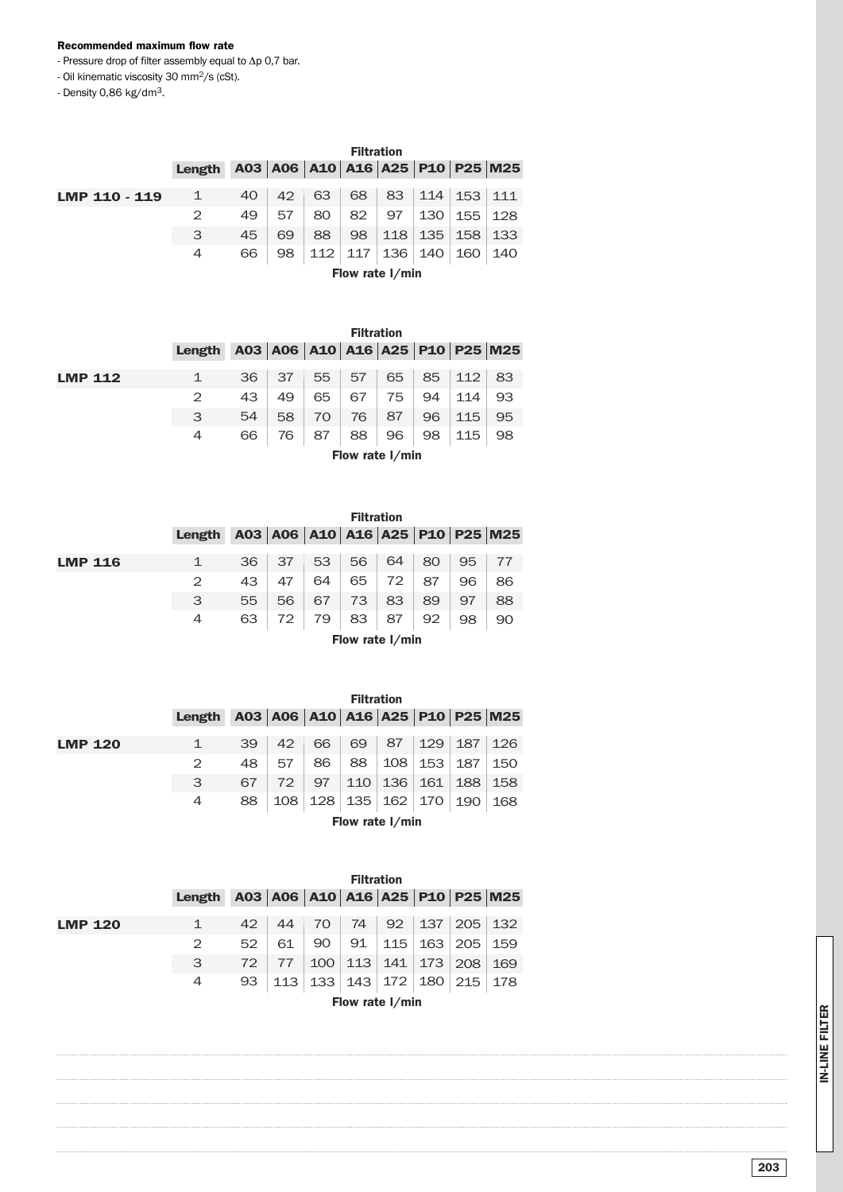#### **Recommended maximum flow rate**

- Pressure drop of filter assembly equal to Δp 0,7 bar.

- Oil kinematic viscosity 30 mm2/s (cSt).

- Density 0,86 kg/dm3.

|               |              | <b>Filtration</b> |                                 |    |           |                 |     |     |     |
|---------------|--------------|-------------------|---------------------------------|----|-----------|-----------------|-----|-----|-----|
|               | Length       |                   | A03 A06 A10 A16 A25 P10 P25 M25 |    |           |                 |     |     |     |
|               |              |                   |                                 |    |           |                 |     |     |     |
| LMP 110 - 119 | $\mathbf{1}$ | 40                | 42                              | 63 | 68        | 83              | 114 | 153 | 111 |
|               | 2            | 49                | 57                              | 80 | 82        | 97              | 130 | 155 | 128 |
|               | 3            | 45                | 69                              | 88 | 98        | 118             | 135 | 158 | 133 |
|               | 4            | 66                | 98                              |    | $112$ 117 | 136             | 140 | 160 | 140 |
|               |              |                   |                                 |    |           | Flow rate I/min |     |     |     |

|                |        | <b>Filtration</b> |                                               |    |    |    |    |             |    |
|----------------|--------|-------------------|-----------------------------------------------|----|----|----|----|-------------|----|
|                | Length |                   | A03   A06   A10   A16   A25   P10   P25   M25 |    |    |    |    |             |    |
| <b>LMP 112</b> |        | 36                | 37                                            | 55 | 57 | 65 | 85 | $\vert$ 112 | 83 |
|                |        | 43                | 49                                            | 65 | 67 | 75 | 94 | 114         | 93 |
|                | 3      | 54                | 58                                            | 70 | 76 | 87 | 96 | 115         | 95 |
|                | 4      | 66                | 76                                            | 87 | 88 | 96 | 98 | 115         | 98 |

**Flow rate l/min**

|                | <b>Filtration</b> |    |      |     |    |    |    |    |                                 |
|----------------|-------------------|----|------|-----|----|----|----|----|---------------------------------|
|                | Length            |    |      |     |    |    |    |    | A03 A06 A10 A16 A25 P10 P25 M25 |
| <b>LMP 116</b> | $\mathbf 1$       | 36 | - 37 | 53  | 56 | 64 | 80 | 95 |                                 |
|                | 2                 | 43 | 47   | 64  | 65 | 72 | 87 | 96 | 86                              |
|                | 3                 | 55 | 56   | 67  | 73 | 83 | 89 | 97 | 88                              |
|                | 4                 | 63 | 72 l | -79 | 83 | 87 | 92 | 98 | 90                              |

**Flow rate l/min**

|                | <b>Filtration</b> |    |     |     |     |                 |           |     |                                               |
|----------------|-------------------|----|-----|-----|-----|-----------------|-----------|-----|-----------------------------------------------|
|                | Length            |    |     |     |     |                 |           |     | A03   A06   A10   A16   A25   P10   P25   M25 |
| <b>LMP 120</b> | 1                 | 39 | 42  | 66  | 69  | 87              | 129       | 187 | 126                                           |
|                | 2                 | 48 | 57  | 86  | 88  | 108             | 153       | 187 | 150                                           |
|                | 3                 | 67 | 72  | 97  | 110 | 136             | 161       | 188 | 158                                           |
|                | 4                 | 88 | 108 | 128 | 135 |                 | 162   170 | 190 | 168                                           |
|                |                   |    |     |     |     | Flow rate I/min |           |     |                                               |

|                |                 | <b>Filtration</b> |     |                             |     |     |                    |                |                                               |
|----------------|-----------------|-------------------|-----|-----------------------------|-----|-----|--------------------|----------------|-----------------------------------------------|
|                | Length          |                   |     |                             |     |     |                    |                | A03   A06   A10   A16   A25   P10   P25   M25 |
| <b>LMP 120</b> | $\mathbf{1}$    | 42                | 44  | 70                          | 74  |     | $92 \mid 137 \mid$ | $205 \mid 132$ |                                               |
|                | 2               | 52                | 61  | 90                          | 91  | 115 | 163                | 205            | 159                                           |
|                | 3               | 72                | 77  | 100                         | 113 | 141 | 173                | 208            | 169                                           |
|                | 4               | 93                | 113 | 133   143   172   180   215 |     |     |                    |                | 178                                           |
|                | Flow rate I/min |                   |     |                             |     |     |                    |                |                                               |

**IN-LINE FILTER IN-LINE FILTER**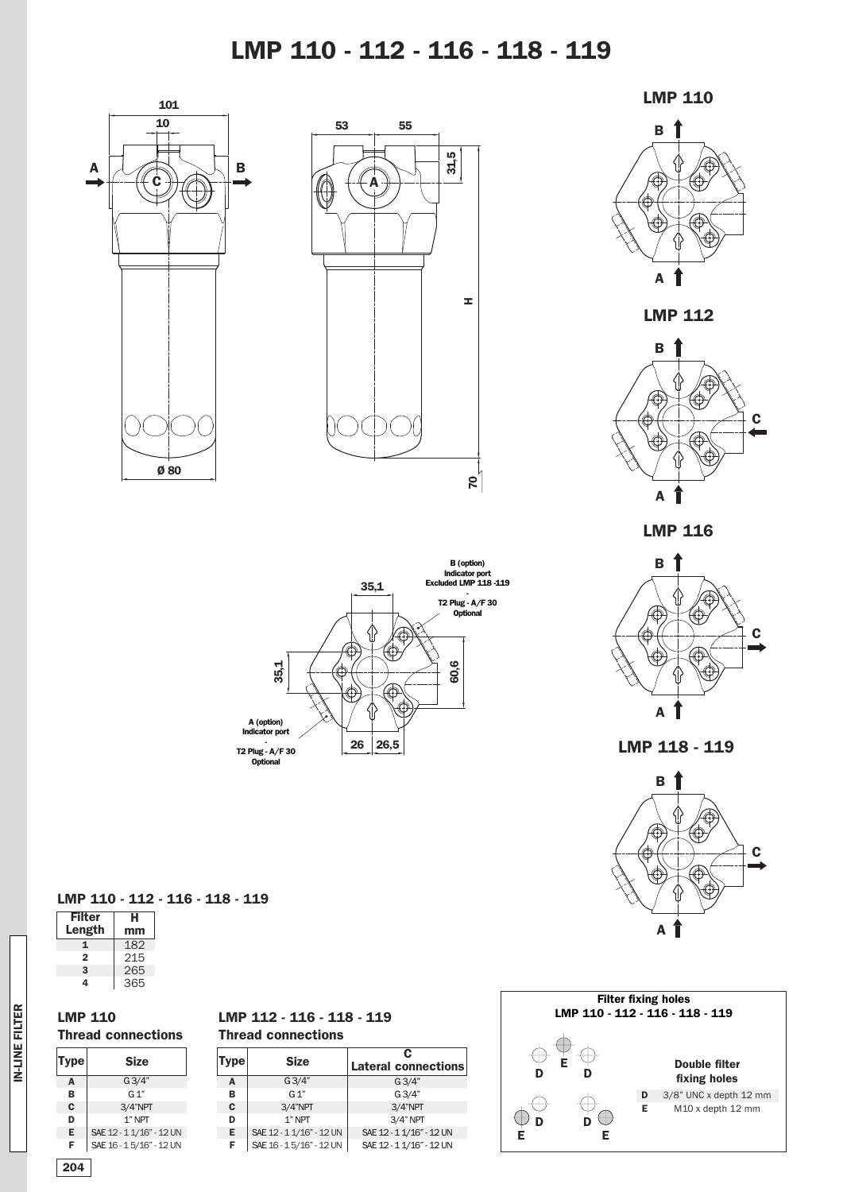### **LMP 110 - 112 - 116 - 118 - 119**







**LMP 112**



**LMP 116**



**LMP 118 - 119**



#### **Filter fixing holes LMP 110 - 112 - 116 - 118 - 119** Œ € **E Double filter D D fixing holes** 3/8" UNC x depth 12 mm **D** ⊕ ⊕ **E** M10 x depth 12 mm  $\bigoplus_{\mathbf{D}}^{\infty}$  **D** $\bigoplus$ **E E**



### **LMP 110 - 112 - 116 - 118 - 119**

| Filter | н   |
|--------|-----|
| Length | mm  |
| 1      | 182 |
| 2      | 215 |
| 3      | 265 |
| 4      | 365 |

#### **LMP 110 Thread connections**

#### **A B C D E F Type Size** G3/4"  $G_1$ " 3/4"NPT 1"NPT SAE 12 - 1 1/16" - 12 UN SAE16-15/16" - 12UN

### **LMP 112 - 116 - 118 - 119 Thread connections**

| <b>Type</b> | <b>Size</b>              | c<br><b>Lateral connections</b> |
|-------------|--------------------------|---------------------------------|
| А           | G3/4"                    | $G \frac{3}{4}$                 |
| в           | $G_1$ "                  | G3/4"                           |
| C           | $3/4$ "NPT               | $3/4$ "NPT                      |
| D           | $1$ " NPT                | $3/4"$ NPT                      |
| E.          | SAE 12 - 1 1/16" - 12 UN | SAE 12 - 1 1/16" - 12 UN        |
| F           | SAE 16 - 15/16" - 12 UN  | SAE 12 - 1 1/16" - 12 UN        |

| ۰.<br>w |  |
|---------|--|

**IN-LINE FILTER**

IN-LINE FILTER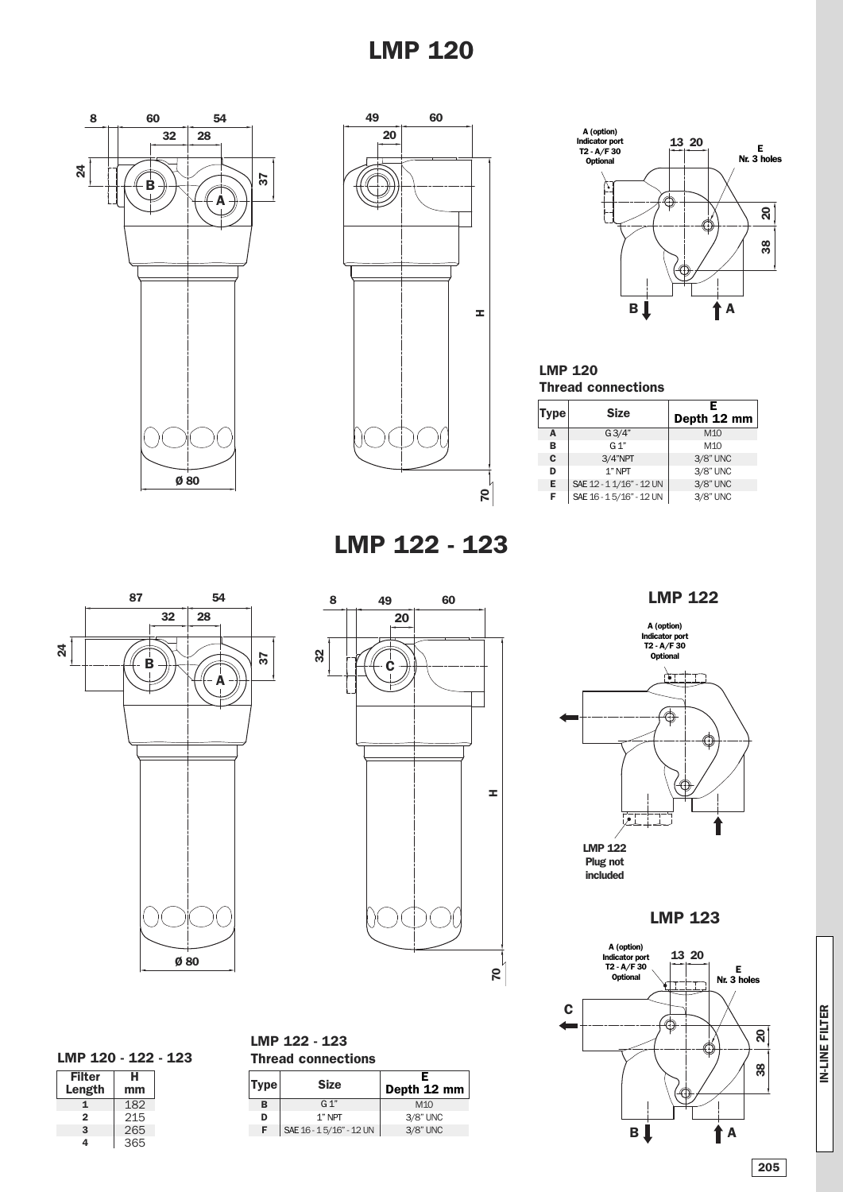## **LMP 120**







### **LMP 120 Thread connections**

| Type∣ | <b>Size</b>              | F<br>Depth 12 mm |
|-------|--------------------------|------------------|
| A     | G3/4"                    | M <sub>10</sub>  |
| в     | G 1"                     | M <sub>10</sub>  |
| C     | $3/4$ "NPT               | 3/8" UNC         |
| D     | $1"$ NPT                 | 3/8" UNC         |
| Е     | SAE 12 - 1 1/16" - 12 UN | 3/8" UNC         |
| F     | SAE 16 - 15/16" - 12 UN  | 3/8" UNC         |

**LMP 122 - 123**





### **LMP 122**



**LMP 123**



**LMP 120 - 122 - 123**

| <b>Filter</b> | н   |
|---------------|-----|
| Length        | mm  |
| 1             | 182 |
| $\mathbf{2}$  | 215 |
| 3             | 265 |
| 4             | 365 |

|                           | LMP 122 - 123 |  |  |  |  |
|---------------------------|---------------|--|--|--|--|
| <b>Thread connections</b> |               |  |  |  |  |

| Type | <b>Size</b>             | F<br>Depth 12 mm |  |  |
|------|-------------------------|------------------|--|--|
| в    | G <sub>1</sub>          | M1O              |  |  |
| D    | 1" NPT                  | 3/8" UNC         |  |  |
| F    | SAE 16 - 15/16" - 12 UN | 3/8" UNC         |  |  |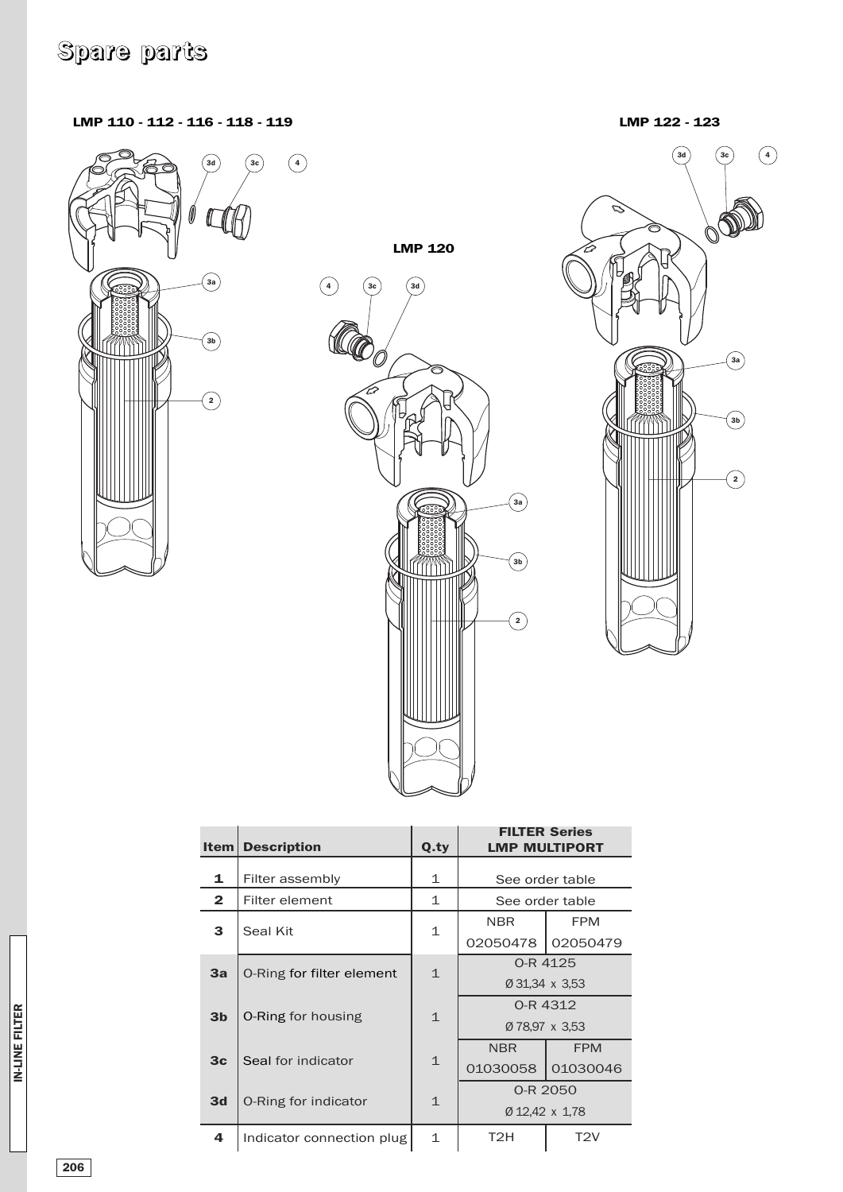# **Spare parts**

**LMP 110 - 112 - 116 - 118 - 119**



**LMP 120**





| Item           | <b>Description</b>        | Q.ty         | <b>FILTER Series</b><br><b>LMP MULTIPORT</b> |                  |
|----------------|---------------------------|--------------|----------------------------------------------|------------------|
| 1              | Filter assembly           | 1            | See order table                              |                  |
| 2              | Filter element            | 1            | See order table                              |                  |
| 3              | Seal Kit                  | 1            | <b>NBR</b>                                   | <b>FPM</b>       |
|                |                           |              | 02050478                                     | 02050479         |
| 3a             | O-Ring for filter element | $\mathbf{1}$ | O-R 4125                                     |                  |
|                |                           |              | Ø 31,34 x 3,53                               |                  |
| 3 <sub>b</sub> | <b>O-Ring for housing</b> | $\mathbf{1}$ | 0-R 4312                                     |                  |
|                |                           |              | Ø 78.97 x 3.53                               |                  |
| 3 <sub>c</sub> |                           | $\mathbf{1}$ | <b>NBR</b>                                   | <b>FPM</b>       |
|                | Seal for indicator        |              | 01030058                                     | 01030046         |
| 3d             | O-Ring for indicator      | $\mathbf{1}$ | 0-R 2050                                     |                  |
|                |                           |              | Ø 12,42 x 1,78                               |                  |
| 4              | Indicator connection plug | $\mathbf{1}$ | T <sub>2</sub> H                             | T <sub>2</sub> V |